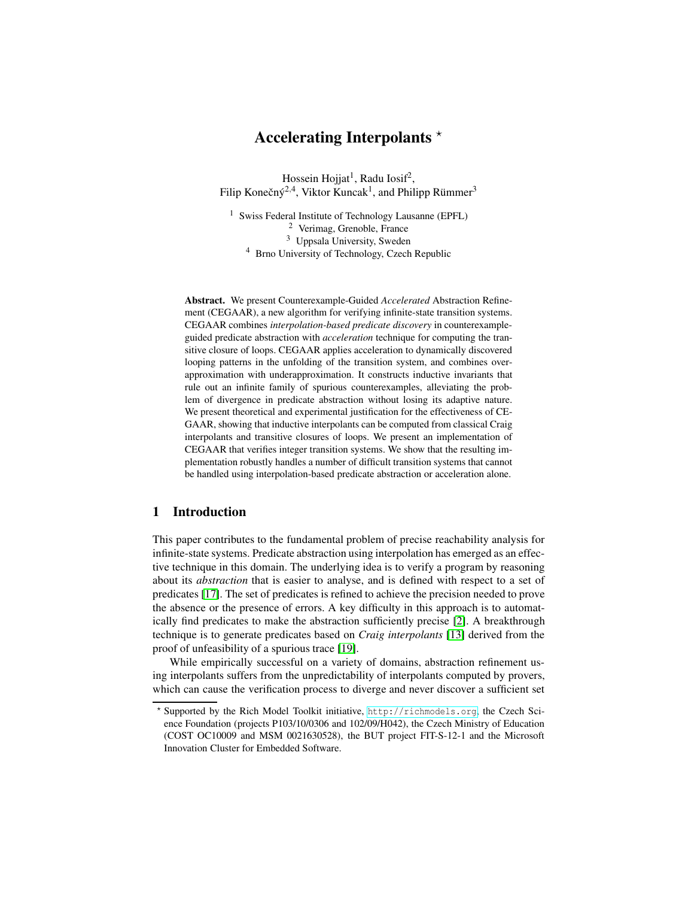# **Accelerating Interpolants** <sup>⋆</sup>

Hossein Hojjat $^1$ , Radu Iosif $^2$ , Filip Konečný<sup>2,4</sup>, Viktor Kuncak<sup>1</sup>, and Philipp Rümmer<sup>3</sup>

 Swiss Federal Institute of Technology Lausanne (EPFL) Verimag, Grenoble, France Uppsala University, Sweden Brno University of Technology, Czech Republic

**Abstract.** We present Counterexample-Guided *Accelerated* Abstraction Refinement (CEGAAR), a new algorithm for verifying infinite-state transition systems. CEGAAR combines *interpolation-based predicate discovery* in counterexampleguided predicate abstraction with *acceleration* technique for computing the transitive closure of loops. CEGAAR applies acceleration to dynamically discovered looping patterns in the unfolding of the transition system, and combines overapproximation with underapproximation. It constructs inductive invariants that rule out an infinite family of spurious counterexamples, alleviating the problem of divergence in predicate abstraction without losing its adaptive nature. We present theoretical and experimental justification for the effectiveness of CE-GAAR, showing that inductive interpolants can be computed from classical Craig interpolants and transitive closures of loops. We present an implementation of CEGAAR that verifies integer transition systems. We show that the resulting implementation robustly handles a number of difficult transition systems that cannot be handled using interpolation-based predicate abstraction or acceleration alone.

# **1 Introduction**

This paper contributes to the fundamental problem of precise reachability analysis for infinite-state systems. Predicate abstraction using interpolation has emerged as an effective technique in this domain. The underlying idea is to verify a program by reasoning about its *abstraction* that is easier to analyse, and is defined with respect to a set of predicates [\[17\]](#page-15-0). The set of predicates is refined to achieve the precision needed to prove the absence or the presence of errors. A key difficulty in this approach is to automatically find predicates to make the abstraction sufficiently precise [\[2\]](#page-14-0). A breakthrough technique is to generate predicates based on *Craig interpolants* [\[13\]](#page-15-1) derived from the proof of unfeasibility of a spurious trace [\[19\]](#page-15-2).

While empirically successful on a variety of domains, abstraction refinement using interpolants suffers from the unpredictability of interpolants computed by provers, which can cause the verification process to diverge and never discover a sufficient set

<sup>⋆</sup> Supported by the Rich Model Toolkit initiative, <http://richmodels.org>, the Czech Science Foundation (projects P103/10/0306 and 102/09/H042), the Czech Ministry of Education (COST OC10009 and MSM 0021630528), the BUT project FIT-S-12-1 and the Microsoft Innovation Cluster for Embedded Software.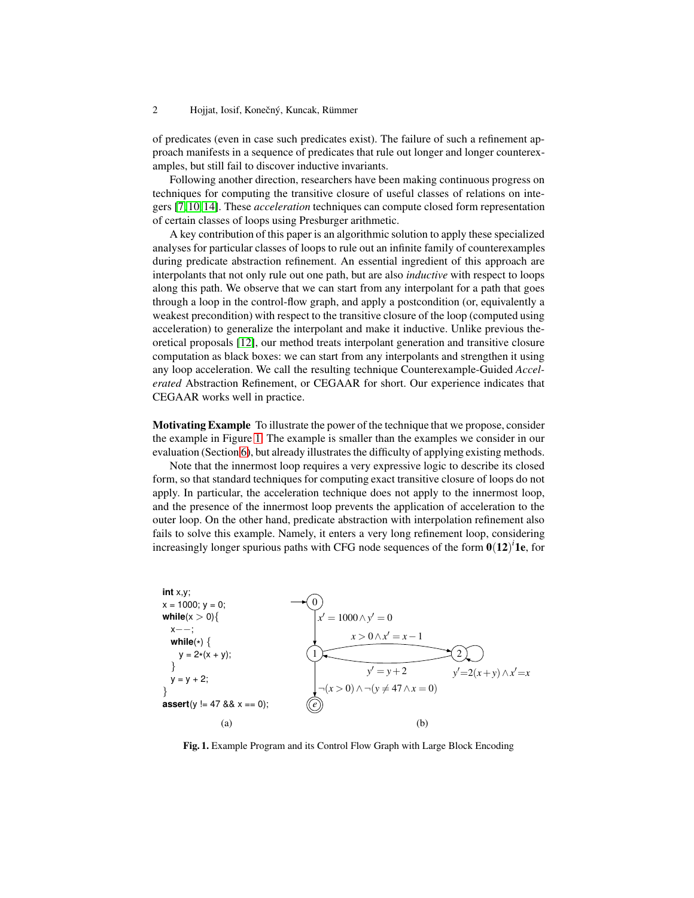of predicates (even in case such predicates exist). The failure of such a refinement approach manifests in a sequence of predicates that rule out longer and longer counterexamples, but still fail to discover inductive invariants.

Following another direction, researchers have been making continuous progress on techniques for computing the transitive closure of useful classes of relations on integers [\[7,](#page-15-3) [10,](#page-15-4) [14\]](#page-15-5). These *acceleration* techniques can compute closed form representation of certain classes of loops using Presburger arithmetic.

A key contribution of this paper is an algorithmic solution to apply these specialized analyses for particular classes of loops to rule out an infinite family of counterexamples during predicate abstraction refinement. An essential ingredient of this approach are interpolants that not only rule out one path, but are also *inductive* with respect to loops along this path. We observe that we can start from any interpolant for a path that goes through a loop in the control-flow graph, and apply a postcondition (or, equivalently a weakest precondition) with respect to the transitive closure of the loop (computed using acceleration) to generalize the interpolant and make it inductive. Unlike previous theoretical proposals [\[12\]](#page-15-6), our method treats interpolant generation and transitive closure computation as black boxes: we can start from any interpolants and strengthen it using any loop acceleration. We call the resulting technique Counterexample-Guided *Accelerated* Abstraction Refinement, or CEGAAR for short. Our experience indicates that CEGAAR works well in practice.

**Motivating Example** To illustrate the power of the technique that we propose, consider the example in Figure [1.](#page-1-0) The example is smaller than the examples we consider in our evaluation (Section [6\)](#page-13-0), but already illustrates the difficulty of applying existing methods.

Note that the innermost loop requires a very expressive logic to describe its closed form, so that standard techniques for computing exact transitive closure of loops do not apply. In particular, the acceleration technique does not apply to the innermost loop, and the presence of the innermost loop prevents the application of acceleration to the outer loop. On the other hand, predicate abstraction with interpolation refinement also fails to solve this example. Namely, it enters a very long refinement loop, considering increasingly longer spurious paths with CFG node sequences of the form  $0(12)^i$  1e, for

**int** x,y; x = 1000; y = 0; **while**(x > 0){ x−−; **while**( \* ) { y = 2\* (x + y); } y = y + 2; } **assert**(y != 47 && x == 0); 0 1 2 *e x* ′ = 1000∧*y* ′ = 0 *x* > 0∧*x* ′ = *x*−1 *y* ′ = *y*+2 ¬(*x* > 0)∧ ¬(*y* 6= 47∧*x* = 0) *y* ′=2(*x*+*y*)∧*x* ′=*x* (a) (b)

<span id="page-1-0"></span>**Fig. 1.** Example Program and its Control Flow Graph with Large Block Encoding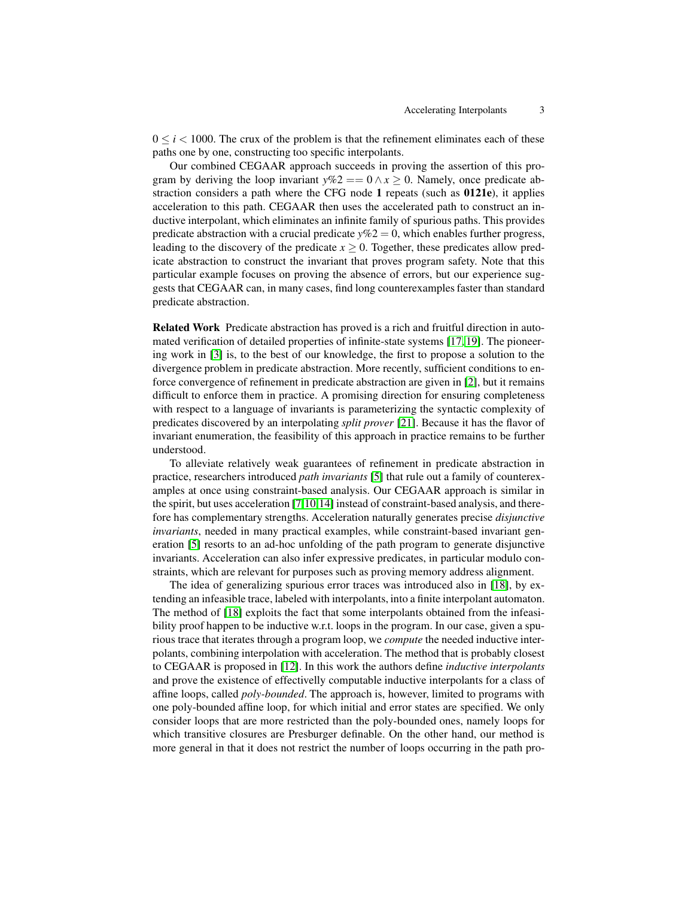$0 \le i \le 1000$ . The crux of the problem is that the refinement eliminates each of these paths one by one, constructing too specific interpolants.

Our combined CEGAAR approach succeeds in proving the assertion of this program by deriving the loop invariant  $y\%2 = 0 \land x \ge 0$ . Namely, once predicate abstraction considers a path where the CFG node **1** repeats (such as **0121e**), it applies acceleration to this path. CEGAAR then uses the accelerated path to construct an inductive interpolant, which eliminates an infinite family of spurious paths. This provides predicate abstraction with a crucial predicate  $y\%2 = 0$ , which enables further progress, leading to the discovery of the predicate  $x \geq 0$ . Together, these predicates allow predicate abstraction to construct the invariant that proves program safety. Note that this particular example focuses on proving the absence of errors, but our experience suggests that CEGAAR can, in many cases, find long counterexamples faster than standard predicate abstraction.

**Related Work** Predicate abstraction has proved is a rich and fruitful direction in automated verification of detailed properties of infinite-state systems [\[17,](#page-15-0) [19\]](#page-15-2). The pioneering work in [\[3\]](#page-14-1) is, to the best of our knowledge, the first to propose a solution to the divergence problem in predicate abstraction. More recently, sufficient conditions to enforce convergence of refinement in predicate abstraction are given in [\[2\]](#page-14-0), but it remains difficult to enforce them in practice. A promising direction for ensuring completeness with respect to a language of invariants is parameterizing the syntactic complexity of predicates discovered by an interpolating *split prover* [\[21\]](#page-15-7). Because it has the flavor of invariant enumeration, the feasibility of this approach in practice remains to be further understood.

To alleviate relatively weak guarantees of refinement in predicate abstraction in practice, researchers introduced *path invariants* [\[5\]](#page-14-2) that rule out a family of counterexamples at once using constraint-based analysis. Our CEGAAR approach is similar in the spirit, but uses acceleration [\[7,](#page-15-3)[10,](#page-15-4)[14\]](#page-15-5) instead of constraint-based analysis, and therefore has complementary strengths. Acceleration naturally generates precise *disjunctive invariants*, needed in many practical examples, while constraint-based invariant generation [\[5\]](#page-14-2) resorts to an ad-hoc unfolding of the path program to generate disjunctive invariants. Acceleration can also infer expressive predicates, in particular modulo constraints, which are relevant for purposes such as proving memory address alignment.

The idea of generalizing spurious error traces was introduced also in [\[18\]](#page-15-8), by extending an infeasible trace, labeled with interpolants, into a finite interpolant automaton. The method of [\[18\]](#page-15-8) exploits the fact that some interpolants obtained from the infeasibility proof happen to be inductive w.r.t. loops in the program. In our case, given a spurious trace that iterates through a program loop, we *compute* the needed inductive interpolants, combining interpolation with acceleration. The method that is probably closest to CEGAAR is proposed in [\[12\]](#page-15-6). In this work the authors define *inductive interpolants* and prove the existence of effectivelly computable inductive interpolants for a class of affine loops, called *poly-bounded*. The approach is, however, limited to programs with one poly-bounded affine loop, for which initial and error states are specified. We only consider loops that are more restricted than the poly-bounded ones, namely loops for which transitive closures are Presburger definable. On the other hand, our method is more general in that it does not restrict the number of loops occurring in the path pro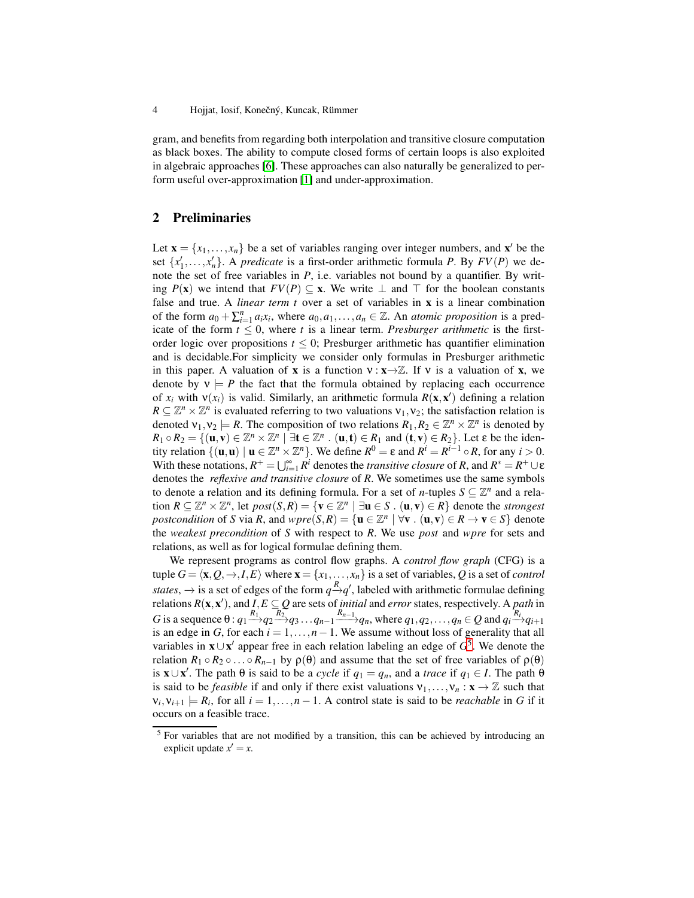gram, and benefits from regarding both interpolation and transitive closure computation as black boxes. The ability to compute closed forms of certain loops is also exploited in algebraic approaches [\[6\]](#page-14-3). These approaches can also naturally be generalized to perform useful over-approximation [\[1\]](#page-14-4) and under-approximation.

# **2 Preliminaries**

Let  $\mathbf{x} = \{x_1, \dots, x_n\}$  be a set of variables ranging over integer numbers, and  $\mathbf{x}'$  be the set  $\{x'_1, \ldots, x'_n\}$ . A *predicate* is a first-order arithmetic formula *P*. By  $FV(P)$  we denote the set of free variables in *P*, i.e. variables not bound by a quantifier. By writing *P*(**x**) we intend that *FV*(*P*) ⊆ **x**. We write ⊥ and ⊤ for the boolean constants false and true. A *linear term t* over a set of variables in **x** is a linear combination of the form  $a_0 + \sum_{i=1}^n a_i x_i$ , where  $a_0, a_1, \ldots, a_n \in \mathbb{Z}$ . An *atomic proposition* is a predicate of the form  $t \leq 0$ , where *t* is a linear term. *Presburger arithmetic* is the firstorder logic over propositions  $t \leq 0$ ; Presburger arithmetic has quantifier elimination and is decidable.For simplicity we consider only formulas in Presburger arithmetic in this paper. A valuation of **x** is a function  $v : \mathbf{x} \to \mathbb{Z}$ . If v is a valuation of **x**, we denote by  $v \models P$  the fact that the formula obtained by replacing each occurrence of  $x_i$  with  $v(x_i)$  is valid. Similarly, an arithmetic formula  $R(\mathbf{x}, \mathbf{x}')$  defining a relation  $R \subseteq \mathbb{Z}^n \times \mathbb{Z}^n$  is evaluated referring to two valuations  $v_1, v_2$ ; the satisfaction relation is denoted  $v_1, v_2 \models R$ . The composition of two relations  $R_1, R_2 \in \mathbb{Z}^n \times \mathbb{Z}^n$  is denoted by  $R_1 \circ R_2 = \{(\mathbf{u}, \mathbf{v}) \in \mathbb{Z}^n \times \mathbb{Z}^n \mid \exists \mathbf{t} \in \mathbb{Z}^n : (\mathbf{u}, \mathbf{t}) \in R_1 \text{ and } (\mathbf{t}, \mathbf{v}) \in R_2\}$ . Let  $\varepsilon$  be the identity relation  $\{(\mathbf{u}, \mathbf{u}) \mid \mathbf{u} \in \mathbb{Z}^n \times \mathbb{Z}^n\}$ . We define  $R^0 = \varepsilon$  and  $R^i = R^{i-1} \circ R$ , for any  $i > 0$ . With these notations,  $R^+ = \bigcup_{i=1}^{\infty} R^i$  denotes the *transitive closure* of *R*, and  $R^* = R^+ \cup \varepsilon$ denotes the *reflexive and transitive closure* of *R*. We sometimes use the same symbols to denote a relation and its defining formula. For a set of *n*-tuples  $S \subseteq \mathbb{Z}^n$  and a relation  $R \subseteq \mathbb{Z}^n \times \mathbb{Z}^n$ , let  $post(S, R) = \{ \mathbf{v} \in \mathbb{Z}^n \mid \exists \mathbf{u} \in S \cdot (\mathbf{u}, \mathbf{v}) \in R \}$  denote the *strongest postcondition* of *S* via *R*, and  $wpre(S, R) = {\mathbf{u} \in \mathbb{Z}^n \mid \forall \mathbf{v} \cdot (\mathbf{u}, \mathbf{v}) \in R \rightarrow \mathbf{v} \in S}$  denote the *weakest precondition* of *S* with respect to *R*. We use *post* and *wpre* for sets and relations, as well as for logical formulae defining them.

We represent programs as control flow graphs. A *control flow graph* (CFG) is a tuple  $G = \langle \mathbf{x}, Q, \to, I, E \rangle$  where  $\mathbf{x} = \{x_1, \dots, x_n\}$  is a set of variables, *Q* is a set of *control states*,  $\rightarrow$  is a set of edges of the form  $q \rightarrow q'$ , labeled with arithmetic formulae defining relations  $R(\mathbf{x}, \mathbf{x}')$ , and  $I, E \subseteq Q$  are sets of *initial* and *error* states, respectively. A *path* in G is a sequence  $\theta$ :  $q_1 \xrightarrow{R_1} q_2 \xrightarrow{R_2} q_3 \dots q_{n-1} \xrightarrow{R_{n-1}} q_n$ , where  $q_1, q_2, \dots, q_n \in Q$  and  $q_i \xrightarrow{R_i} q_{i+1}$ is an edge in *G*, for each  $i = 1, ..., n - 1$ . We assume without loss of generality that all variables in **x**∪**x**<sup>*'*</sup> appear free in each relation labeling an edge of  $G^5$  $G^5$ . We denote the relation  $R_1 \circ R_2 \circ \ldots \circ R_{n-1}$  by  $\rho(\theta)$  and assume that the set of free variables of  $\rho(\theta)$ is **x**∪**x**<sup>'</sup>. The path  $\theta$  is said to be a *cycle* if  $q_1 = q_n$ , and a *trace* if  $q_1 \in I$ . The path  $\theta$ is said to be *feasible* if and only if there exist valuations  $v_1, \ldots, v_n : \mathbf{x} \to \mathbb{Z}$  such that  $v_i, v_{i+1} \models R_i$ , for all  $i = 1, \ldots, n - 1$ . A control state is said to be *reachable* in *G* if it occurs on a feasible trace.

<span id="page-3-0"></span><sup>&</sup>lt;sup>5</sup> For variables that are not modified by a transition, this can be achieved by introducing an explicit update  $x' = x$ .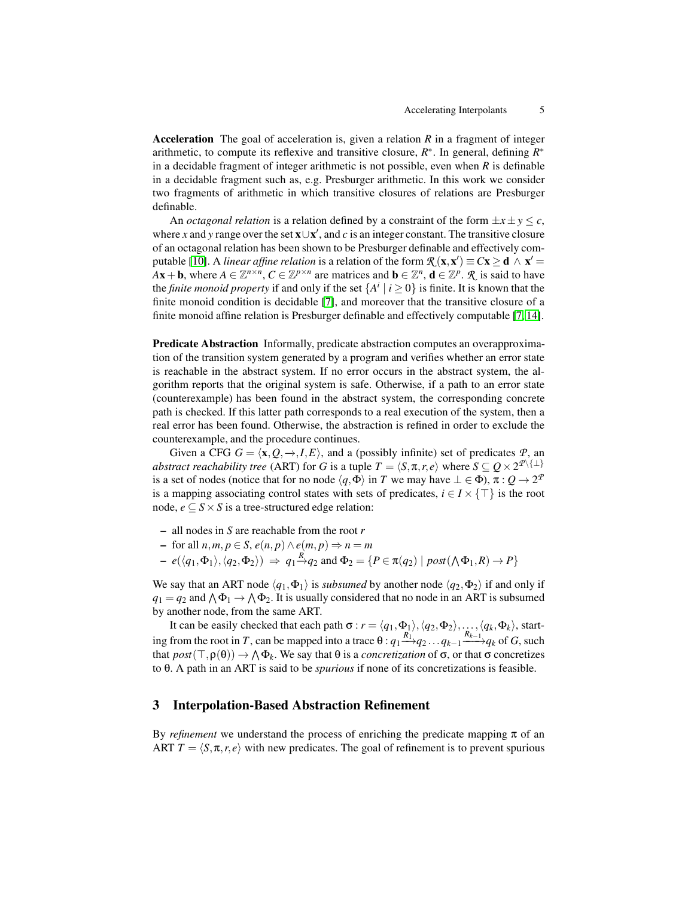**Acceleration** The goal of acceleration is, given a relation *R* in a fragment of integer arithmetic, to compute its reflexive and transitive closure,  $R^*$ . In general, defining  $R^*$ in a decidable fragment of integer arithmetic is not possible, even when *R* is definable in a decidable fragment such as, e.g. Presburger arithmetic. In this work we consider two fragments of arithmetic in which transitive closures of relations are Presburger definable.

An *octagonal relation* is a relation defined by a constraint of the form  $\pm x \pm y \leq c$ , where *x* and *y* range over the set  $\mathbf{x} \cup \mathbf{x}'$ , and *c* is an integer constant. The transitive closure of an octagonal relation has been shown to be Presburger definable and effectively com-putable [\[10\]](#page-15-4). A *linear affine relation* is a relation of the form  $\mathcal{R}(\mathbf{x}, \mathbf{x}') \equiv C\mathbf{x} \geq \mathbf{d} \wedge \mathbf{x}' =$ *A***x** + **b**, where  $A \in \mathbb{Z}^{n \times n}$ ,  $C \in \mathbb{Z}^{p \times n}$  are matrices and  $\mathbf{b} \in \mathbb{Z}^n$ ,  $\mathbf{d} \in \mathbb{Z}^p$ .  $\mathcal{R}$  is said to have the *finite monoid property* if and only if the set  $\{A^i \mid i \geq 0\}$  is finite. It is known that the finite monoid condition is decidable [\[7\]](#page-15-3), and moreover that the transitive closure of a finite monoid affine relation is Presburger definable and effectively computable [\[7,](#page-15-3) [14\]](#page-15-5).

**Predicate Abstraction** Informally, predicate abstraction computes an overapproximation of the transition system generated by a program and verifies whether an error state is reachable in the abstract system. If no error occurs in the abstract system, the algorithm reports that the original system is safe. Otherwise, if a path to an error state (counterexample) has been found in the abstract system, the corresponding concrete path is checked. If this latter path corresponds to a real execution of the system, then a real error has been found. Otherwise, the abstraction is refined in order to exclude the counterexample, and the procedure continues.

Given a CFG  $G = \langle \mathbf{x}, Q, \to, I, E \rangle$ , and a (possibly infinite) set of predicates  $P$ , and *abstract reachability tree* (ART) for *G* is a tuple  $T = \langle S, \pi, r, e \rangle$  where  $S \subseteq Q \times 2^{\mathcal{P} \setminus \{\perp\}}$ is a set of nodes (notice that for no node  $\langle q, \Phi \rangle$  in *T* we may have  $\bot \in \Phi$ ),  $\pi : Q \to 2^{\mathcal{F}}$ is a mapping associating control states with sets of predicates,  $i \in I \times \{\top\}$  is the root node,  $e \subseteq S \times S$  is a tree-structured edge relation:

- **–** all nodes in *S* are reachable from the root *r*
- **–** for all *n*,*m*, *p* ∈ *S*, *e*(*n*, *p*)∧*e*(*m*, *p*) ⇒ *n* = *m*
- $e(\langle q_1, \Phi_1 \rangle, \langle q_2, \Phi_2 \rangle) \Rightarrow q_1 \stackrel{R}{\rightarrow} q_2$  and  $\Phi_2 = \{ P \in \pi(q_2) \mid post(\bigwedge \Phi_1, R) \rightarrow P \}$

We say that an ART node  $\langle q_1, \Phi_1 \rangle$  is *subsumed* by another node  $\langle q_2, \Phi_2 \rangle$  if and only if  $q_1 = q_2$  and  $\bigwedge \Phi_1 \to \bigwedge \Phi_2$ . It is usually considered that no node in an ART is subsumed by another node, from the same ART.

It can be easily checked that each path  $\sigma$  :  $r = \langle q_1,\Phi_1\rangle, \langle q_2,\Phi_2\rangle,\ldots,\langle q_k,\Phi_k\rangle$ , starting from the root in *T*, can be mapped into a trace  $\theta$  :  $q_1 \xrightarrow{R_1} q_2 \dots q_{k-1} \xrightarrow{R_{k-1}} q_k$  of *G*, such that  $post(\top, \rho(\theta)) \to \Lambda \Phi_k$ . We say that  $\theta$  is a *concretization* of  $\sigma$ , or that  $\sigma$  concretizes to θ. A path in an ART is said to be *spurious* if none of its concretizations is feasible.

# **3 Interpolation-Based Abstraction Refinement**

By *refinement* we understand the process of enriching the predicate mapping  $\pi$  of an ART  $T = \langle S, \pi, r, e \rangle$  with new predicates. The goal of refinement is to prevent spurious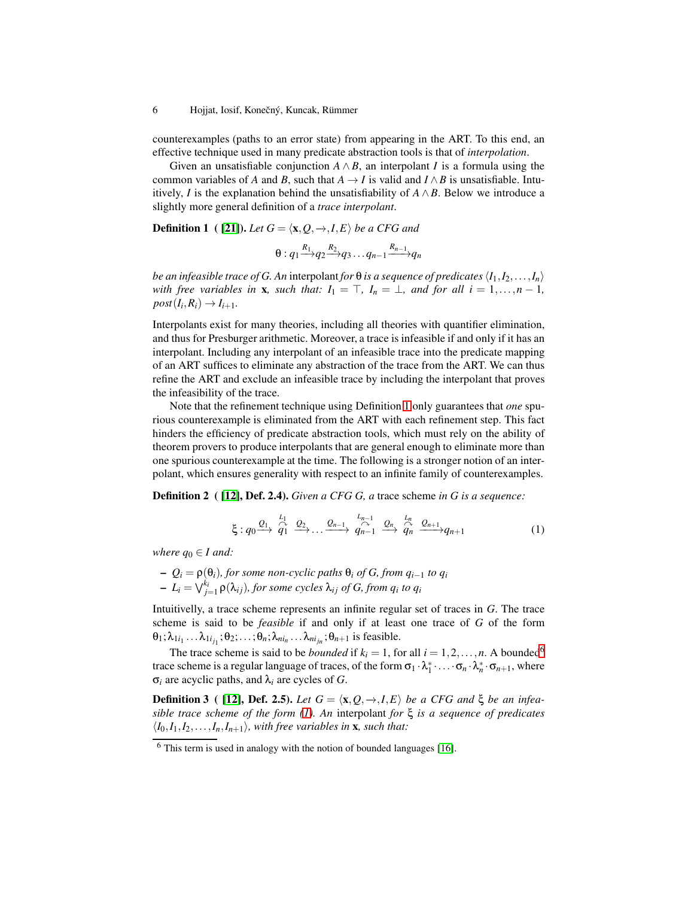counterexamples (paths to an error state) from appearing in the ART. To this end, an effective technique used in many predicate abstraction tools is that of *interpolation*.

Given an unsatisfiable conjunction  $A \wedge B$ , an interpolant *I* is a formula using the common variables of *A* and *B*, such that  $A \rightarrow I$  is valid and  $I \wedge B$  is unsatisfiable. Intuitively, *I* is the explanation behind the unsatisfiability of  $A \wedge B$ . Below we introduce a slightly more general definition of a *trace interpolant*.

<span id="page-5-0"></span>**Definition 1** (**[21]**). *Let*  $G = \langle \mathbf{x}, Q, \rightarrow, I, E \rangle$  *be a CFG and* 

$$
\theta: q_1 \xrightarrow{R_1} q_2 \xrightarrow{R_2} q_3 \dots q_{n-1} \xrightarrow{R_{n-1}} q_n
$$

*be an infeasible trace of G. An interpolant <i>for*  $\theta$  *is a sequence of predicates*  $\langle I_1, I_2, \ldots, I_n \rangle$ *with free variables in* **x***, such that:*  $I_1 = \top$ *,*  $I_n = \bot$ *, and for all i* = 1*,...,n* − 1*,*  $post(I_i, R_i) \rightarrow I_{i+1}.$ 

Interpolants exist for many theories, including all theories with quantifier elimination, and thus for Presburger arithmetic. Moreover, a trace is infeasible if and only if it has an interpolant. Including any interpolant of an infeasible trace into the predicate mapping of an ART suffices to eliminate any abstraction of the trace from the ART. We can thus refine the ART and exclude an infeasible trace by including the interpolant that proves the infeasibility of the trace.

Note that the refinement technique using Definition [1](#page-5-0) only guarantees that *one* spurious counterexample is eliminated from the ART with each refinement step. This fact hinders the efficiency of predicate abstraction tools, which must rely on the ability of theorem provers to produce interpolants that are general enough to eliminate more than one spurious counterexample at the time. The following is a stronger notion of an interpolant, which ensures generality with respect to an infinite family of counterexamples.

**Definition 2 ( [\[12\]](#page-15-6), Def. 2.4).** *Given a CFG G, a* trace scheme *in G is a sequence:*

<span id="page-5-3"></span><span id="page-5-2"></span>
$$
\xi: q_0 \xrightarrow{Q_1} \overbrace{q_1}^{L_1} \xrightarrow{Q_2} \dots \xrightarrow{Q_{n-1}} \overbrace{q_{n-1}}^{L_{n-1}} \xrightarrow{Q_n} \overbrace{q_n}^{L_n} \xrightarrow{Q_{n+1}} q_{n+1}
$$
 (1)

*where*  $q_0 \in I$  *and:* 

**–** *Q<sup>i</sup>* = ρ(θ*i*)*, for some non-cyclic paths* θ*<sup>i</sup> of G, from qi*−<sup>1</sup> *to q<sup>i</sup>*  $\mathcal{L}_i = \bigvee_{j=1}^{k_i} \rho(\lambda_{ij})$ , for some cycles  $\lambda_{ij}$  of G, from  $q_i$  to  $q_i$ 

Intuitivelly, a trace scheme represents an infinite regular set of traces in *G*. The trace scheme is said to be *feasible* if and only if at least one trace of *G* of the form  $\theta_1; \lambda_{1i_1} \ldots \lambda_{1i_{j_1}}; \theta_2; \ldots; \theta_n; \lambda_{ni_n} \ldots \lambda_{ni_{j_n}}; \theta_{n+1}$  is feasible.

The trace scheme is said to be *bounded* if  $k_i = 1$ , for all  $i = 1, 2, ..., n$ . A bounded<sup>[6](#page-5-1)</sup> trace scheme is a regular language of traces, of the form  $\sigma_1 \cdot \lambda_1^* \cdot \ldots \cdot \sigma_n \cdot \lambda_n^* \cdot \sigma_{n+1}$ , where σ*<sup>i</sup>* are acyclic paths, and λ*<sup>i</sup>* are cycles of *G*.

**Definition 3** (**[12]**, **Def. 2.5**). *Let*  $G = \langle \mathbf{x}, Q, \rightarrow, I, E \rangle$  *be a CFG and*  $\xi$  *be an infeasible trace scheme of the form [\(1\)](#page-5-2). An* interpolant *for* ξ *is a sequence of predicates*  $\langle I_0, I_1, I_2, \ldots, I_n, I_{n+1} \rangle$ , with free variables in **x***, such that:* 

<span id="page-5-1"></span> $6$  This term is used in analogy with the notion of bounded languages [\[16\]](#page-15-9).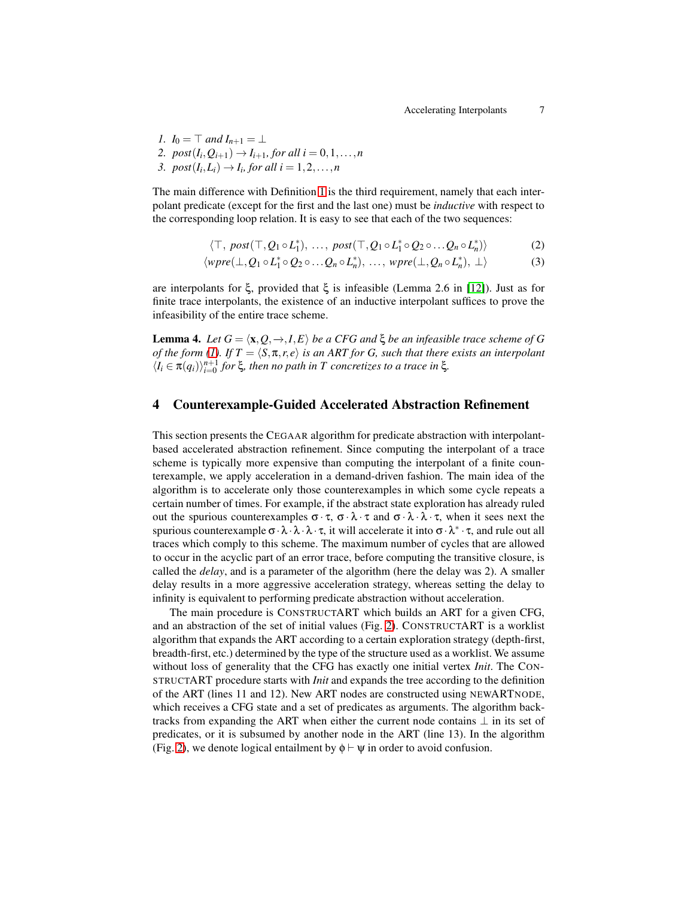*1.*  $I_0 = \top$  *and*  $I_{n+1} = \bot$ 2.  $post(I_i, Q_{i+1}) \rightarrow I_{i+1}$ , for all  $i = 0, 1, ..., n$ 3.  $post(I_i, L_i) \rightarrow I_i$ , for all  $i = 1, 2, \ldots, n$ 

The main difference with Definition [1](#page-5-0) is the third requirement, namely that each interpolant predicate (except for the first and the last one) must be *inductive* with respect to the corresponding loop relation. It is easy to see that each of the two sequences:

<span id="page-6-0"></span>
$$
\langle \top, \, \text{post}(\top, Q_1 \circ L_1^*), \, \dots, \, \text{post}(\top, Q_1 \circ L_1^* \circ Q_2 \circ \dots Q_n \circ L_n^*) \rangle \tag{2}
$$

$$
\langle wpre(\bot, Q_1 \circ L_1^* \circ Q_2 \circ \dots \circ Q_n \circ L_n^*), \dots, \, wpre(\bot, Q_n \circ L_n^*), \bot \rangle \tag{3}
$$

are interpolants for ξ, provided that ξ is infeasible (Lemma 2.6 in [\[12\]](#page-15-6)). Just as for finite trace interpolants, the existence of an inductive interpolant suffices to prove the infeasibility of the entire trace scheme.

**Lemma 4.** *Let*  $G = \langle \mathbf{x}, Q, \to , I, E \rangle$  *be a CFG and*  $\xi$  *be an infeasible trace scheme of G of the form* [\(1\)](#page-5-2). If  $T = \langle S, \pi, r, e \rangle$  *is an ART for G, such that there exists an interpolant*  $\langle I_i \in \pi(q_i) \rangle_{i=0}^{n+1}$  *for* ξ*, then no path in T concretizes to a trace in* ξ*.* 

### **4 Counterexample-Guided Accelerated Abstraction Refinement**

This section presents the CEGAAR algorithm for predicate abstraction with interpolantbased accelerated abstraction refinement. Since computing the interpolant of a trace scheme is typically more expensive than computing the interpolant of a finite counterexample, we apply acceleration in a demand-driven fashion. The main idea of the algorithm is to accelerate only those counterexamples in which some cycle repeats a certain number of times. For example, if the abstract state exploration has already ruled out the spurious counterexamples  $\sigma \cdot \tau$ ,  $\sigma \cdot \lambda \cdot \tau$  and  $\sigma \cdot \lambda \cdot \tau$ , when it sees next the spurious counterexample  $\sigma \cdot \lambda \cdot \lambda \cdot \tau$ , it will accelerate it into  $\sigma \cdot \lambda^* \cdot \tau$ , and rule out all traces which comply to this scheme. The maximum number of cycles that are allowed to occur in the acyclic part of an error trace, before computing the transitive closure, is called the *delay*, and is a parameter of the algorithm (here the delay was 2). A smaller delay results in a more aggressive acceleration strategy, whereas setting the delay to infinity is equivalent to performing predicate abstraction without acceleration.

The main procedure is CONSTRUCTART which builds an ART for a given CFG, and an abstraction of the set of initial values (Fig. [2\)](#page-7-0). CONSTRUCTART is a worklist algorithm that expands the ART according to a certain exploration strategy (depth-first, breadth-first, etc.) determined by the type of the structure used as a worklist. We assume without loss of generality that the CFG has exactly one initial vertex *Init*. The CON-STRUCTART procedure starts with *Init* and expands the tree according to the definition of the ART (lines 11 and 12). New ART nodes are constructed using NEWARTNODE, which receives a CFG state and a set of predicates as arguments. The algorithm backtracks from expanding the ART when either the current node contains  $\perp$  in its set of predicates, or it is subsumed by another node in the ART (line 13). In the algorithm (Fig. [2\)](#page-7-0), we denote logical entailment by  $\phi \vdash \psi$  in order to avoid confusion.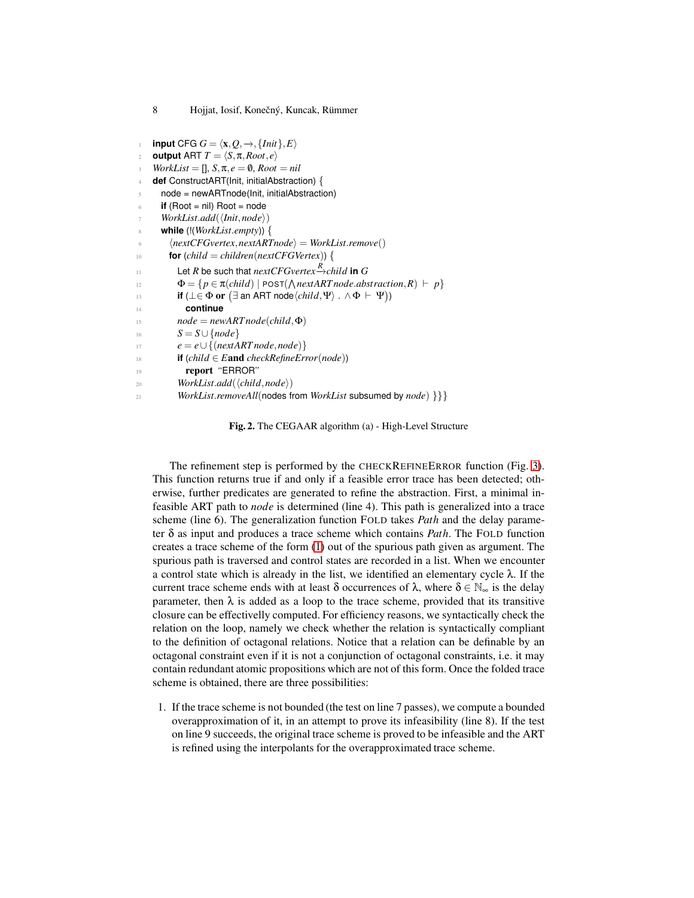```
input CFG G = \langlex, Q, →, \{Init\}, E\rangleoutput ART T = \langle S, \pi, Root, e \rangleWorkList = [], S, \pi, e = \emptyset, Root = nil4 def ConstructART(Init, initialAbstraction) {
      5 node = newARTnode(Init, initialAbstraction)
      if (Root = nil) Root = node
       WorkList.add(\langleInit,node \rangle)8 while (!(WorkList.empty)) {
         \langle nextCFGvertex, nextARTnode \rangle = WorkList.remove()
10 for \text{(child = children(next{CFGVertex)}) }\Box Let R be such that nextCFGvertex \xrightarrow{R}child in G12 \Phi = \{ p \in \pi \text{(child)} \mid \text{POST}(\text{∧} \text{nextART} \text{node} \text{.} \text{abstraction}, R) \vdash p \}if (\bot∈ Φ or (∃ an ART node\langle child, \Psi \rangle . ∧ Φ ⊢ Ψ))
14 continue
15 node = newART node(child, \Phi)16 S = S∪ {node}
17 e = e∪ {(nextART node,node)}
18 if (child ∈ Eand checkRefineError(node))
19 report ''ERROR''
20 WorkList.add(\langle child, node \rangle)
21 WorkList.removeAll(nodes from WorkList subsumed by node) }}}
```
<span id="page-7-0"></span>**Fig. 2.** The CEGAAR algorithm (a) - High-Level Structure

The refinement step is performed by the CHECKREFINEERROR function (Fig. [3\)](#page-8-0). This function returns true if and only if a feasible error trace has been detected; otherwise, further predicates are generated to refine the abstraction. First, a minimal infeasible ART path to *node* is determined (line 4). This path is generalized into a trace scheme (line 6). The generalization function FOLD takes *Path* and the delay parameter δ as input and produces a trace scheme which contains *Path*. The FOLD function creates a trace scheme of the form [\(1\)](#page-5-2) out of the spurious path given as argument. The spurious path is traversed and control states are recorded in a list. When we encounter a control state which is already in the list, we identified an elementary cycle  $\lambda$ . If the current trace scheme ends with at least  $\delta$  occurrences of  $\lambda$ , where  $\delta \in \mathbb{N}_{\infty}$  is the delay parameter, then  $\lambda$  is added as a loop to the trace scheme, provided that its transitive closure can be effectivelly computed. For efficiency reasons, we syntactically check the relation on the loop, namely we check whether the relation is syntactically compliant to the definition of octagonal relations. Notice that a relation can be definable by an octagonal constraint even if it is not a conjunction of octagonal constraints, i.e. it may contain redundant atomic propositions which are not of this form. Once the folded trace scheme is obtained, there are three possibilities:

1. If the trace scheme is not bounded (the test on line 7 passes), we compute a bounded overapproximation of it, in an attempt to prove its infeasibility (line 8). If the test on line 9 succeeds, the original trace scheme is proved to be infeasible and the ART is refined using the interpolants for the overapproximated trace scheme.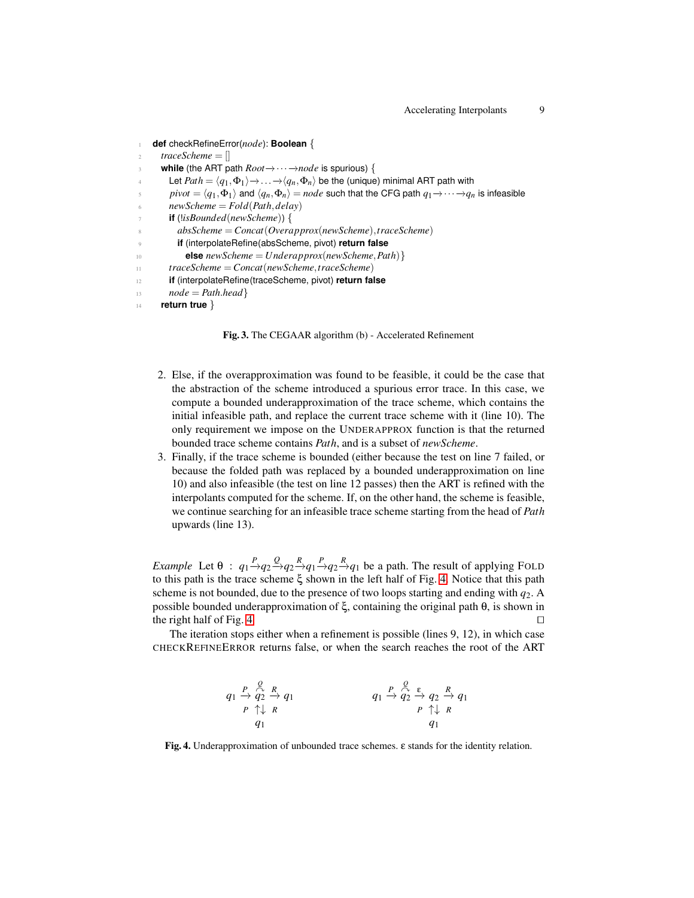```
1 def checkRefineError(node): Boolean {
      2 traceScheme = []
      while (the ART path Root→···→node is spurious) {
        Let Path = \langle q_1, \Phi_1 \rangle \rightarrow ... \rightarrow \langle q_n, \Phi_n \rangle be the (unique) minimal ART path with
        pivot = \langle q_1, \Phi_1 \rangle and \langle q_n, \Phi_n \rangle = node such that the CFG path q_1 \rightarrow \cdots \rightarrow q_n is infeasible
        6 newScheme = Fold(Path,delay)
        7 if (!isBounded(newScheme)) {
          8 absScheme = Concat(Overapprox(newScheme),traceScheme)
          9 if (interpolateRefine(absScheme, pivot) return false
10 else newScheme = Underapprox(newScheme,Path)}
11 traceScheme = Concat(newScheme,traceScheme)
12 if (interpolateRefine(traceScheme, pivot) return false
13 node = Path-head}
14 return true }
```
<span id="page-8-0"></span>**Fig. 3.** The CEGAAR algorithm (b) - Accelerated Refinement

- 2. Else, if the overapproximation was found to be feasible, it could be the case that the abstraction of the scheme introduced a spurious error trace. In this case, we compute a bounded underapproximation of the trace scheme, which contains the initial infeasible path, and replace the current trace scheme with it (line 10). The only requirement we impose on the UNDERAPPROX function is that the returned bounded trace scheme contains *Path*, and is a subset of *newScheme*.
- 3. Finally, if the trace scheme is bounded (either because the test on line 7 failed, or because the folded path was replaced by a bounded underapproximation on line 10) and also infeasible (the test on line 12 passes) then the ART is refined with the interpolants computed for the scheme. If, on the other hand, the scheme is feasible, we continue searching for an infeasible trace scheme starting from the head of *Path* upwards (line 13).

*Example* Let  $\theta$  :  $q_1 \rightarrow q_2 \rightarrow q_2 \rightarrow q_1 \rightarrow q_2 \rightarrow q_1$  be a path. The result of applying FOLD to this path is the trace scheme ξ shown in the left half of Fig. [4.](#page-8-1) Notice that this path scheme is not bounded, due to the presence of two loops starting and ending with *q*2. A possible bounded underapproximation of ξ, containing the original path θ, is shown in the right half of Fig. [4.](#page-8-1) □

The iteration stops either when a refinement is possible (lines 9, 12), in which case CHECKREFINEERROR returns false, or when the search reaches the root of the ART

$$
q_1 \xrightarrow{P} \begin{array}{c} Q & R \\ Q & 2 \end{array} \xrightarrow{q_1} q_1 \qquad \qquad q_1 \xrightarrow{P} \begin{array}{c} Q & \varepsilon \\ Q & 2 \end{array} \xrightarrow{R} q_1
$$
\n
$$
q_1 \xrightarrow{P} \begin{array}{c} Q & \varepsilon \\ Q & 2 \end{array} \xrightarrow{R} q_1
$$
\n
$$
q_1 \qquad \qquad q_1
$$

<span id="page-8-1"></span>**Fig. 4.** Underapproximation of unbounded trace schemes. ε stands for the identity relation.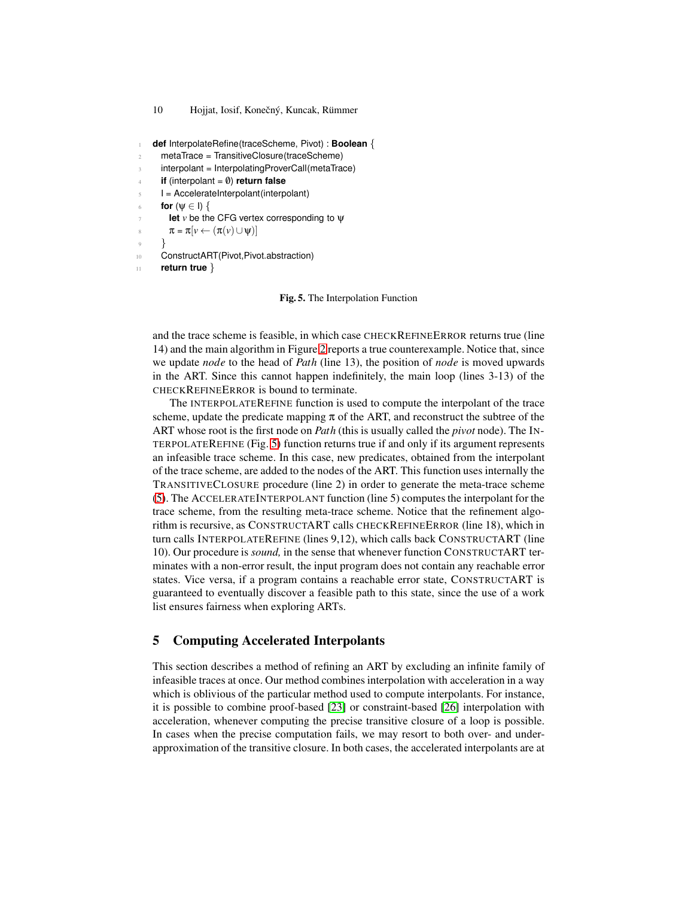```
10 Hojjat, Iosif, Konečný, Kuncak, Rümmer
```

```
1 def InterpolateRefine(traceScheme, Pivot) : Boolean {
```

```
2 metaTrace = TransitiveClosure(traceScheme)
```
interpolant = InterpolatingProverCall(metaTrace)

```
if (interpolant = 0) return false
```

```
I = AccelerateInterpolant(interpolant)
```

```
for (\psi \in I) {
```

```
let v be the CFG vertex corresponding to ψ
```

```
\pi = \pi[\nu \leftarrow (\pi(\nu) \cup \psi)]
```

```
9 }
```
<sup>10</sup> ConstructART(Pivot,Pivot.abstraction)

```
11 return true }
```
### <span id="page-9-0"></span>**Fig. 5.** The Interpolation Function

and the trace scheme is feasible, in which case CHECKREFINEERROR returns true (line 14) and the main algorithm in Figure [2](#page-7-0) reports a true counterexample. Notice that, since we update *node* to the head of *Path* (line 13), the position of *node* is moved upwards in the ART. Since this cannot happen indefinitely, the main loop (lines 3-13) of the CHECKREFINEERROR is bound to terminate.

The INTERPOLATEREFINE function is used to compute the interpolant of the trace scheme, update the predicate mapping  $\pi$  of the ART, and reconstruct the subtree of the ART whose root is the first node on *Path* (this is usually called the *pivot* node). The IN-TERPOLATEREFINE (Fig. [5\)](#page-9-0) function returns true if and only if its argument represents an infeasible trace scheme. In this case, new predicates, obtained from the interpolant of the trace scheme, are added to the nodes of the ART. This function uses internally the TRANSITIVECLOSURE procedure (line 2) in order to generate the meta-trace scheme [\(5\)](#page-10-0). The ACCELERATEINTERPOLANT function (line 5) computes the interpolant for the trace scheme, from the resulting meta-trace scheme. Notice that the refinement algorithm is recursive, as CONSTRUCTART calls CHECKREFINEERROR (line 18), which in turn calls INTERPOLATEREFINE (lines 9,12), which calls back CONSTRUCTART (line 10). Our procedure is *sound,* in the sense that whenever function CONSTRUCTART terminates with a non-error result, the input program does not contain any reachable error states. Vice versa, if a program contains a reachable error state, CONSTRUCTART is guaranteed to eventually discover a feasible path to this state, since the use of a work list ensures fairness when exploring ARTs.

# **5 Computing Accelerated Interpolants**

This section describes a method of refining an ART by excluding an infinite family of infeasible traces at once. Our method combines interpolation with acceleration in a way which is oblivious of the particular method used to compute interpolants. For instance, it is possible to combine proof-based [\[23\]](#page-15-10) or constraint-based [\[26\]](#page-15-11) interpolation with acceleration, whenever computing the precise transitive closure of a loop is possible. In cases when the precise computation fails, we may resort to both over- and underapproximation of the transitive closure. In both cases, the accelerated interpolants are at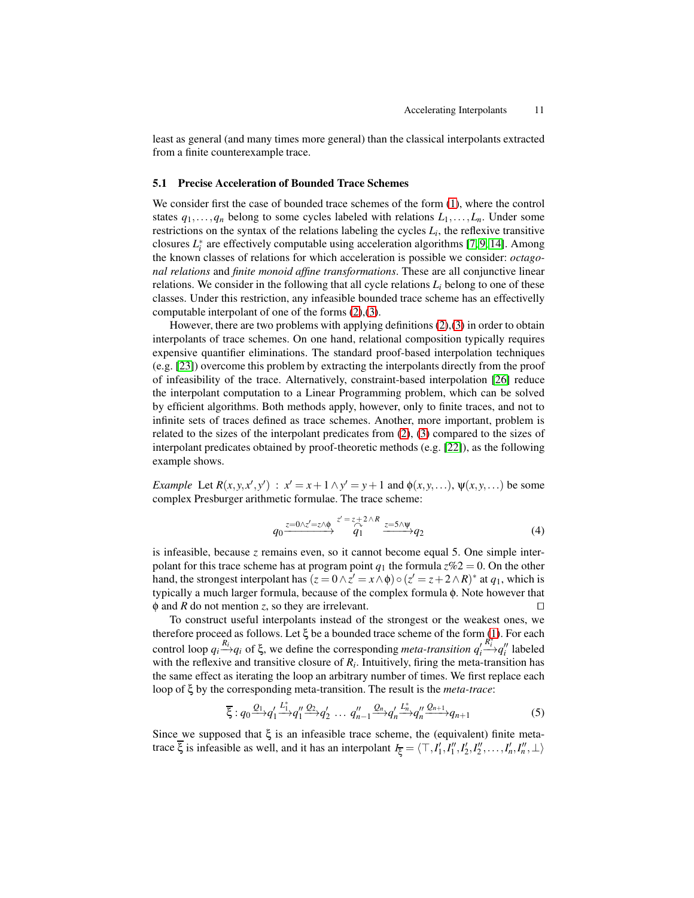least as general (and many times more general) than the classical interpolants extracted from a finite counterexample trace.

### **5.1 Precise Acceleration of Bounded Trace Schemes**

We consider first the case of bounded trace schemes of the form [\(1\)](#page-5-2), where the control states  $q_1, \ldots, q_n$  belong to some cycles labeled with relations  $L_1, \ldots, L_n$ . Under some restrictions on the syntax of the relations labeling the cycles  $L_i$ , the reflexive transitive closures  $L_i^*$  are effectively computable using acceleration algorithms [\[7,](#page-15-3) [9,](#page-15-12) [14\]](#page-15-5). Among the known classes of relations for which acceleration is possible we consider: *octagonal relations* and *finite monoid affine transformations*. These are all conjunctive linear relations. We consider in the following that all cycle relations  $L_i$  belong to one of these classes. Under this restriction, any infeasible bounded trace scheme has an effectivelly computable interpolant of one of the forms [\(2\)](#page-6-0),[\(3\)](#page-6-0).

However, there are two problems with applying definitions [\(2\)](#page-6-0),[\(3\)](#page-6-0) in order to obtain interpolants of trace schemes. On one hand, relational composition typically requires expensive quantifier eliminations. The standard proof-based interpolation techniques (e.g. [\[23\]](#page-15-10)) overcome this problem by extracting the interpolants directly from the proof of infeasibility of the trace. Alternatively, constraint-based interpolation [\[26\]](#page-15-11) reduce the interpolant computation to a Linear Programming problem, which can be solved by efficient algorithms. Both methods apply, however, only to finite traces, and not to infinite sets of traces defined as trace schemes. Another, more important, problem is related to the sizes of the interpolant predicates from [\(2\)](#page-6-0), [\(3\)](#page-6-0) compared to the sizes of interpolant predicates obtained by proof-theoretic methods (e.g. [\[22\]](#page-15-13)), as the following example shows.

*Example* Let  $R(x, y, x', y')$ :  $x' = x + 1 \land y' = y + 1$  and  $\phi(x, y, \ldots), \psi(x, y, \ldots)$  be some complex Presburger arithmetic formulae. The trace scheme:

<span id="page-10-1"></span>
$$
q_0 \xrightarrow{z=0 \wedge z'=z \wedge \phi} \begin{array}{c} z'=z+2 \wedge R \\ q_1 \end{array} \xrightarrow{z=5 \wedge \psi} q_2 \tag{4}
$$

is infeasible, because *z* remains even, so it cannot become equal 5. One simple interpolant for this trace scheme has at program point  $q_1$  the formula  $z\%2 = 0$ . On the other hand, the strongest interpolant has  $(z = 0 \land z' = x \land \phi) \circ (z' = z + 2 \land R)^*$  at  $q_1$ , which is typically a much larger formula, because of the complex formula φ. Note however that φ and *R* do not mention *z*, so they are irrelevant. ⊓⊔

To construct useful interpolants instead of the strongest or the weakest ones, we therefore proceed as follows. Let  $\xi$  be a bounded trace scheme of the form [\(1\)](#page-5-2). For each control loop  $q_i \stackrel{R_i}{\longrightarrow} q_i$  of  $\xi$ , we define the corresponding *meta-transition*  $q'_i$  $\stackrel{R_i^*}{\longrightarrow} q_i''$  labeled with the reflexive and transitive closure of  $R_i$ . Intuitively, firing the meta-transition has the same effect as iterating the loop an arbitrary number of times. We first replace each loop of ξ by the corresponding meta-transition. The result is the *meta-trace*:

<span id="page-10-0"></span>
$$
\overline{\xi}: q_0 \xrightarrow{Q_1} q'_1 \xrightarrow{L_1^*} q''_1 \xrightarrow{Q_2} q'_2 \dots q''_{n-1} \xrightarrow{Q_n} q'_n \xrightarrow{L_n^*} q''_n \xrightarrow{Q_{n+1}} q_{n+1}
$$
(5)

Since we supposed that  $\xi$  is an infeasible trace scheme, the (equivalent) finite metatrace  $\overline{\xi}$  is infeasible as well, and it has an interpolant  $I_{\overline{\xi}} = \langle \top, I'_1, I''_1, I'_2, I''_2, \dots, I'_n, I''_n, \bot \rangle$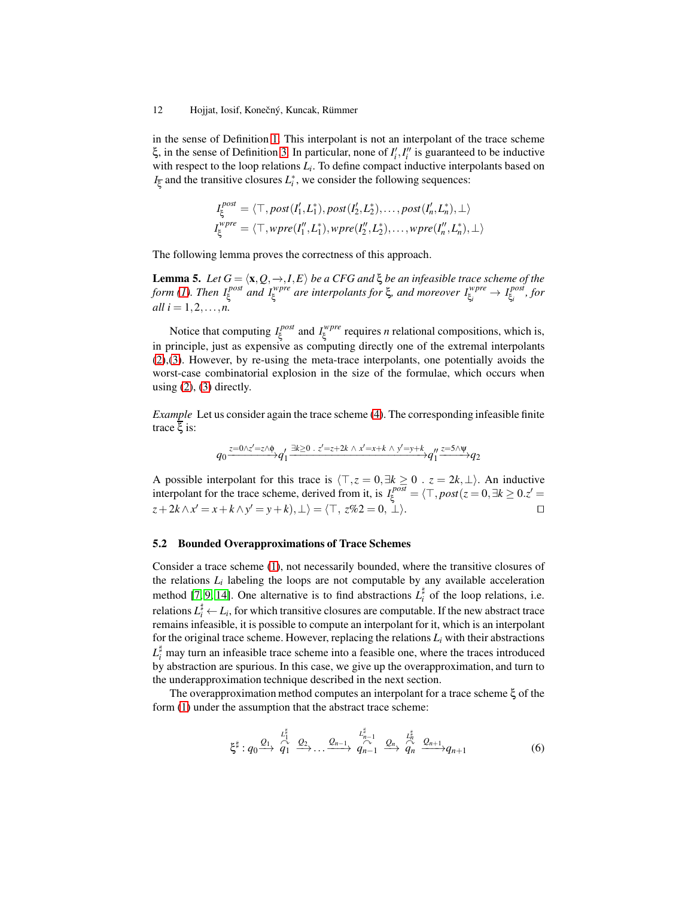in the sense of Definition [1.](#page-5-0) This interpolant is not an interpolant of the trace scheme ξ, in the sense of Definition [3.](#page-5-3) In particular, none of  $I'_i, I''_i$  is guaranteed to be inductive with respect to the loop relations  $L_i$ . To define compact inductive interpolants based on  $I_{\xi}$  and the transitive closures  $L_i^*$ , we consider the following sequences:

$$
I_{\xi}^{post} = \langle \top, post(I'_1, L_1^*), post(I'_2, L_2^*), \dots, post(I'_n, L_n^*), \bot \rangle
$$
  

$$
I_{\xi}^{wpre} = \langle \top, wpre(I''_1, L_1^*), wpre(I''_2, L_2^*), \dots, wpre(I''_n, L_n^*), \bot \rangle
$$

The following lemma proves the correctness of this approach.

**Lemma 5.** *Let*  $G = \langle \mathbf{x}, Q, \to, I, E \rangle$  *be a CFG and*  $\xi$  *be an infeasible trace scheme of the form [\(1\)](#page-5-2). Then I post* ξ *and I wpre* ξ *are interpolants for* ξ*, and moreover I wpre*  $\zeta_i^{wpre} \rightarrow I_{\xi_i}^{post}$ ξ*i , for all*  $i = 1, 2, ..., n$ .

Notice that computing  $I_\varepsilon^{post}$ ξ and *I wpre*  $\zeta^{where}$  requires *n* relational compositions, which is, in principle, just as expensive as computing directly one of the extremal interpolants [\(2\)](#page-6-0),[\(3\)](#page-6-0). However, by re-using the meta-trace interpolants, one potentially avoids the worst-case combinatorial explosion in the size of the formulae, which occurs when using  $(2)$ ,  $(3)$  directly.

*Example* Let us consider again the trace scheme [\(4\)](#page-10-1). The corresponding infeasible finite trace ξ is:

$$
q_0 \xrightarrow{z=0 \wedge z'=z \wedge \psi} q_1' \xrightarrow{\exists k \geq 0} \cdot z'=z+2k \wedge x'=x+k \wedge y'=y+k \vee q_1'' \xrightarrow{z=5 \wedge \psi} q_2
$$

A possible interpolant for this trace is  $\langle \top, z = 0, \exists k \ge 0$ . *z* = 2*k*,⊥ $\bot$ ). An inductive interpolant for the trace scheme, derived from it, is  $I_{\xi}^{post} = \langle \top, post(z = 0, \exists k \ge 0, z' = 0] \rangle$  $z + 2k \wedge x' = x + k \wedge y' = y + k$ ,  $\perp$ ) =  $\langle \top, z\%2 = 0, \perp \rangle$ .

#### **5.2 Bounded Overapproximations of Trace Schemes**

Consider a trace scheme [\(1\)](#page-5-2), not necessarily bounded, where the transitive closures of the relations  $L_i$  labeling the loops are not computable by any available acceleration method [\[7,](#page-15-3) [9,](#page-15-12) [14\]](#page-15-5). One alternative is to find abstractions  $L_i^{\sharp}$  of the loop relations, i.e. relations  $L_i^{\sharp} \leftarrow L_i$ , for which transitive closures are computable. If the new abstract trace remains infeasible, it is possible to compute an interpolant for it, which is an interpolant for the original trace scheme. However, replacing the relations  $L_i$  with their abstractions  $L_i^{\sharp}$  may turn an infeasible trace scheme into a feasible one, where the traces introduced by abstraction are spurious. In this case, we give up the overapproximation, and turn to the underapproximation technique described in the next section.

The overapproximation method computes an interpolant for a trace scheme ξ of the form [\(1\)](#page-5-2) under the assumption that the abstract trace scheme:

<span id="page-11-0"></span>
$$
\xi^{\sharp}: q_0 \xrightarrow{Q_1} \overbrace{q_1}^{\iota_1^{\sharp}} \xrightarrow{Q_2} \dots \xrightarrow{Q_{n-1}} q_{n-1}^{\iota_{n-1}^{\sharp}} \xrightarrow{Q_n} \overbrace{q_n}^{\iota_n^{\sharp}} \xrightarrow{Q_{n+1}} q_{n+1}
$$
(6)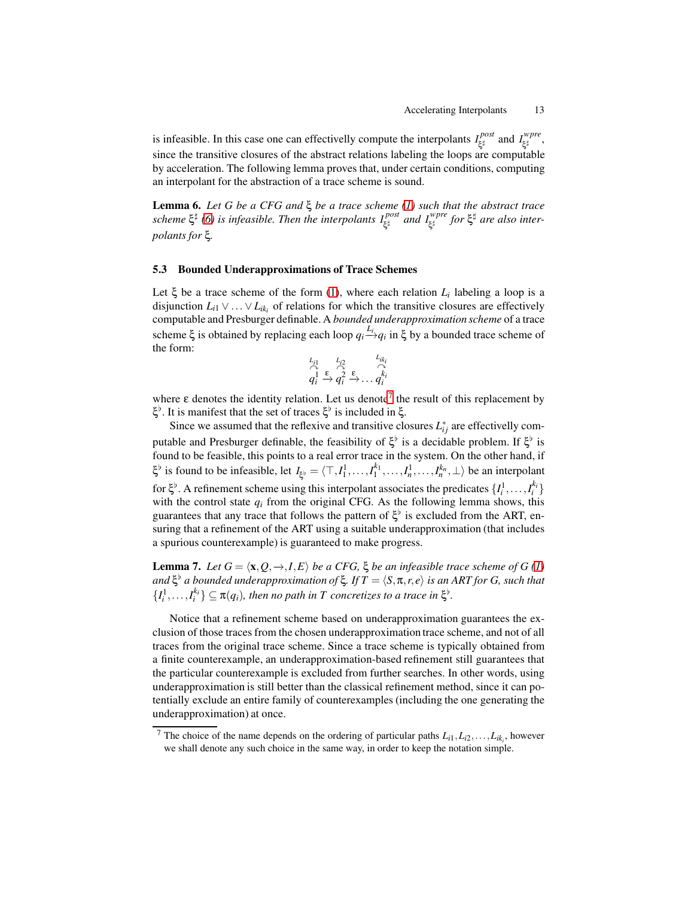is infeasible. In this case one can effectivelly compute the interpolants  $I_{\epsilon t}^{post}$ ξ ♯ and *I wpre* -wpre<br>ξ‡ since the transitive closures of the abstract relations labeling the loops are computable by acceleration. The following lemma proves that, under certain conditions, computing an interpolant for the abstraction of a trace scheme is sound.

**Lemma 6.** *Let G be a CFG and* ξ *be a trace scheme [\(1\)](#page-5-2) such that the abstract trace scheme* ξ ♯ *[\(6\)](#page-11-0) is infeasible. Then the interpolants I post* ξ <sup>♯</sup> *and I wpre* ξ ♯ *for* ξ <sup>♯</sup> *are also interpolants for* ξ*.*

#### **5.3 Bounded Underapproximations of Trace Schemes**

Let  $\xi$  be a trace scheme of the form [\(1\)](#page-5-2), where each relation  $L_i$  labeling a loop is a disjunction  $L_{i1} \vee \ldots \vee L_{ik_i}$  of relations for which the transitive closures are effectively computable and Presburger definable. A *bounded underapproximation scheme* of a trace scheme  $\xi$  is obtained by replacing each loop  $q_i \stackrel{L_i}{\rightarrow} q_i$  in  $\xi$  by a bounded trace scheme of the form:

$$
\overbrace{q_i^1}^{L_{i1}} \xrightarrow{k_{i2}} \overbrace{q_i^2}^{L_{i2}} \xrightarrow{k_{ik_i}} \overbrace{q_i^{k_i}}
$$

where  $\varepsilon$  denotes the identity relation. Let us denote<sup>[7](#page-12-0)</sup> the result of this replacement by ξ<sup>b</sup>. It is manifest that the set of traces ξ<sup>b</sup> is included in ξ.

Since we assumed that the reflexive and transitive closures  $L_{ij}^*$  are effectivelly computable and Presburger definable, the feasibility of  $\xi^{\flat}$  is a decidable problem. If  $\xi^{\flat}$  is found to be feasible, this points to a real error trace in the system. On the other hand, if  $\xi^{\flat}$  is found to be infeasible, let  $I_{\xi^{\flat}} = \langle \top, I_1^1, \dots, I_1^{k_1}, \dots, I_n^{k_n}, \bot \rangle$  be an interpolant for  $\xi^{\flat}$ . A refinement scheme using this interpolant associates the predicates  $\{I_i^1, \ldots, I_i^{k_i}\}$ with the control state  $q_i$  from the original CFG. As the following lemma shows, this guarantees that any trace that follows the pattern of  $\xi^{\flat}$  is excluded from the ART, ensuring that a refinement of the ART using a suitable underapproximation (that includes a spurious counterexample) is guaranteed to make progress.

**Lemma 7.** *Let*  $G = \langle \mathbf{x}, Q, \to, I, E \rangle$  *be a CFG,*  $\xi$  *be an infeasible trace scheme of G* [\(1\)](#page-5-2) *and* ξ ♭ *a bounded underapproximation of* ξ*. If T* = h*S*,π,*r*,*e*i *is an ART for G, such that*  $\{I_i^1, \ldots, I_i^{k_i}\} \subseteq \pi(q_i)$ , then no path in T concretizes to a trace in  $\xi^{\flat}$ .

Notice that a refinement scheme based on underapproximation guarantees the exclusion of those traces from the chosen underapproximation trace scheme, and not of all traces from the original trace scheme. Since a trace scheme is typically obtained from a finite counterexample, an underapproximation-based refinement still guarantees that the particular counterexample is excluded from further searches. In other words, using underapproximation is still better than the classical refinement method, since it can potentially exclude an entire family of counterexamples (including the one generating the underapproximation) at once.

<span id="page-12-0"></span><sup>&</sup>lt;sup>7</sup> The choice of the name depends on the ordering of particular paths  $L_{i1}, L_{i2}, \ldots, L_{ik_i}$ , however we shall denote any such choice in the same way, in order to keep the notation simple.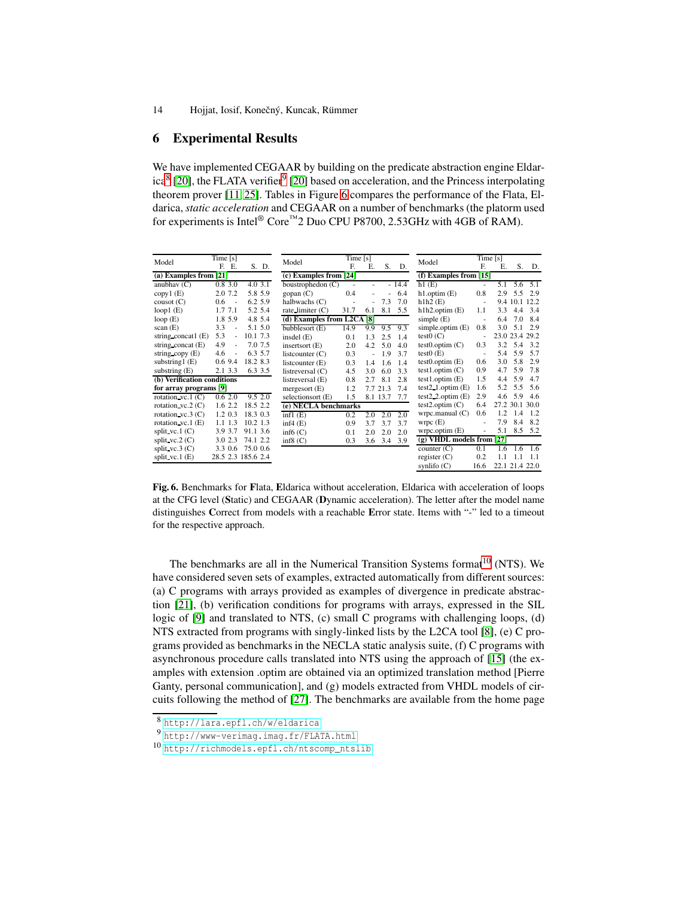### <span id="page-13-0"></span>**6 Experimental Results**

We have implemented CEGAAR by building on the predicate abstraction engine Eldar-ica<sup>[8](#page-13-1)</sup> [\[20\]](#page-15-14), the FLATA verifier<sup>[9](#page-13-2)</sup> [20] based on acceleration, and the Princess interpolating theorem prover [\[11,](#page-15-15) [25\]](#page-15-16). Tables in Figure [6](#page-13-3) compares the performance of the Flata, Eldarica, *static acceleration* and CEGAAR on a number of benchmarks (the platorm used for experiments is Intel<sup>®</sup> Core<sup>™</sup>2 Duo CPU P8700, 2.53GHz with 4GB of RAM).

| Model                       | Time $[s]$                      |                    | Model                        | Time $[s]$ |     |          |         | Model                         | Time $[s]$               |     |          |                |
|-----------------------------|---------------------------------|--------------------|------------------------------|------------|-----|----------|---------|-------------------------------|--------------------------|-----|----------|----------------|
|                             | F. E.                           | S. D.              |                              | F.         | Е.  | S.       | D.      |                               | F.                       | Е.  | S.       | D.             |
| (a) Examples from $[21]$    |                                 |                    | $(c)$ Examples from [24]     |            |     |          |         | $(f)$ Examples from [15]      |                          |     |          |                |
| anubhav $(C)$               | 0.83.0                          | 4.03.1             | boustrophedon $(C)$          | ٠          | ٠   |          | $-14.4$ | h1(E)                         | ٠                        | 5.1 | 5.6      | 5.1            |
| copy1(E)                    | 2.0 7.2                         | 5.8 5.9            | $g$ opan $(C)$               | 0.4        |     |          | 6.4     | $h1.$ optim $(E)$             | 0.8                      | 2.9 | 5.5      | 2.9            |
| $\cos(t)$ (C)               | 0.6<br>$\sim$                   | 6.2 5.9            | halbwachs $(C)$              |            | ä,  | 7.3      | 7.0     | h1h2(E)                       | $\overline{\phantom{a}}$ |     | 9.4 10.1 | 12.2           |
| loop1 $(E)$                 | 1.7 7.1                         | 5.2 5.4            | rate limiter $(C)$           | 31.7       | 6.1 | 8.1      | 5.5     | $h1h2$ .optim $(E)$           | 1.1                      | 3.3 | 4.4      | 3.4            |
| loop $(E)$                  | 1.8 5.9                         | 4.8 5.4            | (d) Examples from L2CA $[8]$ |            |     |          |         | simple $(E)$                  | ٠                        | 6.4 | 7.0      | 8.4            |
| scan(E)                     | 3.3<br>÷                        | 5.1 5.0            | bubblesort (E)               | 14.9       | 9.9 | 9.5      | 9.3     | simple.optim $(E)$            | 0.8                      | 3.0 | 5.1      | 2.9            |
| string concat1 $(E)$        | 5.3<br>÷                        | 10.1 7.3           | insdel $(E)$                 | 0.1        | 1.3 | 2.5      | 1.4     | test $0(C)$                   |                          |     |          | 23.0 23.4 29.2 |
| string concat $(E)$         | 4.9<br>$\overline{\phantom{a}}$ | 7.0 7.5            | inserts ort $(E)$            | 2.0        | 4.2 | 5.0      | 4.0     | $test0.$ optim $(C)$          | 0.3                      | 3.2 | 5.4      | 3.2            |
| string $copy(E)$            | 4.6<br>÷                        | 6.3 5.7            | listcounter $(C)$            | 0.3        |     | 1.9      | 3.7     | test $0(E)$                   | ٠                        | 5.4 | 5.9      | 5.7            |
| substring $1(E)$            | $0.6$ 9.4                       | 18.2 8.3           | listcounter (E)              | 0.3        | 1.4 | 1.6      | 1.4     | $test0.$ optim $(E)$          | 0.6                      | 3.0 | 5.8      | 2.9            |
| substring $(E)$             | 2.1 3.3                         | 6.3 3.5            | listreversal $(C)$           | 4.5        | 3.0 | 6.0      | 3.3     | $test1.$ optim $(C)$          | 0.9                      | 4.7 | 5.9      | 7.8            |
| (b) Verification conditions |                                 |                    | listreversal (E)             | 0.8        | 2.7 | 8.1      | 2.8     | $test1.$ optim $(E)$          | 1.5                      | 4.4 | 5.9      | 4.7            |
| for array programs [9]      |                                 |                    | mergesort $(E)$              | 1.2        |     | 7.7 21.3 | 7.4     | $test2$ 1.optim $(E)$         | 1.6                      | 5.2 | 5.5      | 5.6            |
| rotation vc.1 $(C)$         | 0.62.0                          | 9.52.0             | selectionsort (E)            | 1.5        |     | 8.1 13.7 | 7.7     | test2_2.optim $(E)$           | 2.9                      | 4.6 | 5.9      | 4.6            |
| rotation $vc.2(C)$          | 1.62.2                          | 18.5 2.2           | (e) NECLA benchmarks         |            |     |          |         | $test2.$ optim $(C)$          | 6.4                      |     |          | 27.2 30.1 30.0 |
| rotation $vc.3(C)$          | $1.2 \; 0.3$                    | 18.3 0.3           | inf1(E)                      | 0.2        | 2.0 | 2.0      | 2.0     | $w$ rpc.manual $(C)$          | 0.6                      | 1.2 | 1.4      | 1.2            |
| rotation $vc.1$ (E)         | 1.11.3                          | $10.2$ 1.3         | inf4(E)                      | 0.9        | 3.7 | 3.7      | 3.7     | wrpc(E)                       | ٠                        | 7.9 | 8.4      | 8.2            |
| split vc.1 $(C)$            | 3.9 3.7                         | 91.1 3.6           | inf $6(C)$                   | 0.1        | 2.0 | 2.0      | 2.0     | $wrpc.$ optim $(E)$           | ÷                        | 5.1 | 8.5      | 5.2            |
| split $vc.2(C)$             | 3.0 2.3                         | 74.1 2.2           | inf8 $(C)$                   | 0.3        | 3.6 | 3.4      | 3.9     | $(g)$ VHDL models from $[27]$ |                          |     |          |                |
| split $vc.3(C)$             | 3.3 0.6                         | 75.0 0.6           |                              |            |     |          |         | counter $(C)$                 | 0.1                      | 1.6 | 1.6      | 1.6            |
| split vc.1 $(E)$            |                                 | 28.5 2.3 185.6 2.4 |                              |            |     |          |         | register $(C)$                | 0.2                      | 1.1 | 1.1      | 1.1            |
|                             |                                 |                    |                              |            |     |          |         | synlifo $(C)$                 | 16.6                     |     |          | 22.1 21.4 22.0 |

<span id="page-13-3"></span>**Fig. 6.** Benchmarks for **F**lata, **E**ldarica without acceleration, Eldarica with acceleration of loops at the CFG level (**S**tatic) and CEGAAR (**D**ynamic acceleration). The letter after the model name distinguishes **C**orrect from models with a reachable **E**rror state. Items with "-" led to a timeout for the respective approach.

The benchmarks are all in the Numerical Transition Systems format<sup>[10](#page-13-4)</sup> (NTS). We have considered seven sets of examples, extracted automatically from different sources: (a) C programs with arrays provided as examples of divergence in predicate abstraction [\[21\]](#page-15-7), (b) verification conditions for programs with arrays, expressed in the SIL logic of [\[9\]](#page-15-12) and translated to NTS, (c) small C programs with challenging loops, (d) NTS extracted from programs with singly-linked lists by the L2CA tool [\[8\]](#page-15-18), (e) C programs provided as benchmarks in the NECLA static analysis suite, (f) C programs with asynchronous procedure calls translated into NTS using the approach of [\[15\]](#page-15-19) (the examples with extension .optim are obtained via an optimized translation method [Pierre Ganty, personal communication], and (g) models extracted from VHDL models of circuits following the method of [\[27\]](#page-15-20). The benchmarks are available from the home page

<span id="page-13-4"></span><span id="page-13-2"></span><sup>10</sup> [http://richmodels.epfl.ch/ntscomp\\_ntslib](http://richmodels.epfl.ch/ntscomp_ntslib)

<sup>8</sup> <http://lara.epfl.ch/w/eldarica>

<span id="page-13-1"></span><sup>9</sup> <http://www-verimag.imag.fr/FLATA.html>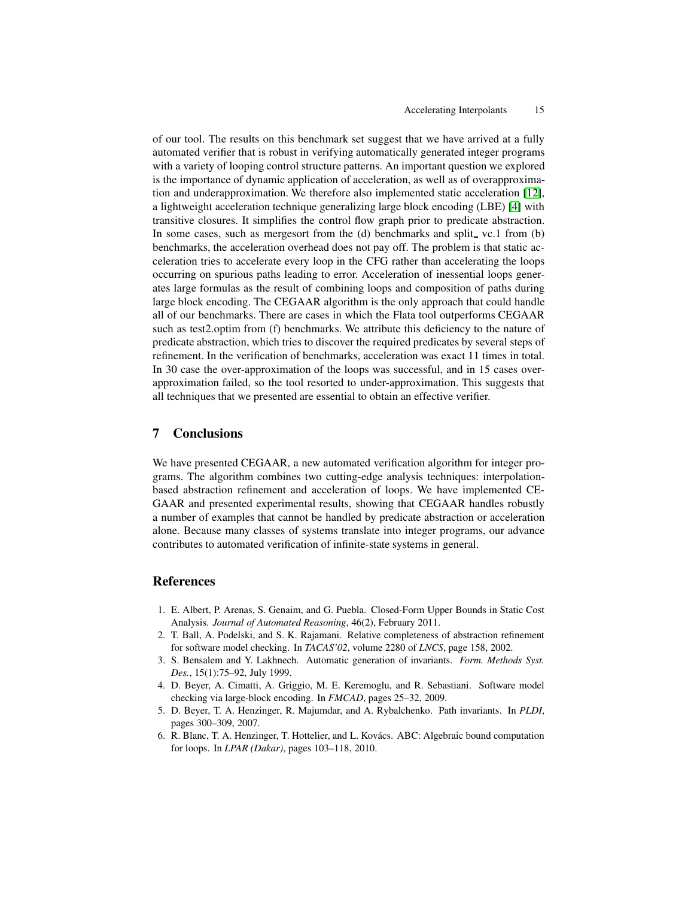of our tool. The results on this benchmark set suggest that we have arrived at a fully automated verifier that is robust in verifying automatically generated integer programs with a variety of looping control structure patterns. An important question we explored is the importance of dynamic application of acceleration, as well as of overapproximation and underapproximation. We therefore also implemented static acceleration [\[12\]](#page-15-6), a lightweight acceleration technique generalizing large block encoding (LBE) [\[4\]](#page-14-5) with transitive closures. It simplifies the control flow graph prior to predicate abstraction. In some cases, such as mergesort from the  $(d)$  benchmarks and split vc.1 from  $(b)$ benchmarks, the acceleration overhead does not pay off. The problem is that static acceleration tries to accelerate every loop in the CFG rather than accelerating the loops occurring on spurious paths leading to error. Acceleration of inessential loops generates large formulas as the result of combining loops and composition of paths during large block encoding. The CEGAAR algorithm is the only approach that could handle all of our benchmarks. There are cases in which the Flata tool outperforms CEGAAR such as test2.optim from (f) benchmarks. We attribute this deficiency to the nature of predicate abstraction, which tries to discover the required predicates by several steps of refinement. In the verification of benchmarks, acceleration was exact 11 times in total. In 30 case the over-approximation of the loops was successful, and in 15 cases overapproximation failed, so the tool resorted to under-approximation. This suggests that all techniques that we presented are essential to obtain an effective verifier.

### **7 Conclusions**

We have presented CEGAAR, a new automated verification algorithm for integer programs. The algorithm combines two cutting-edge analysis techniques: interpolationbased abstraction refinement and acceleration of loops. We have implemented CE-GAAR and presented experimental results, showing that CEGAAR handles robustly a number of examples that cannot be handled by predicate abstraction or acceleration alone. Because many classes of systems translate into integer programs, our advance contributes to automated verification of infinite-state systems in general.

# **References**

- <span id="page-14-4"></span>1. E. Albert, P. Arenas, S. Genaim, and G. Puebla. Closed-Form Upper Bounds in Static Cost Analysis. *Journal of Automated Reasoning*, 46(2), February 2011.
- <span id="page-14-0"></span>2. T. Ball, A. Podelski, and S. K. Rajamani. Relative completeness of abstraction refinement for software model checking. In *TACAS'02*, volume 2280 of *LNCS*, page 158, 2002.
- <span id="page-14-1"></span>3. S. Bensalem and Y. Lakhnech. Automatic generation of invariants. *Form. Methods Syst. Des.*, 15(1):75–92, July 1999.
- <span id="page-14-5"></span>4. D. Beyer, A. Cimatti, A. Griggio, M. E. Keremoglu, and R. Sebastiani. Software model checking via large-block encoding. In *FMCAD*, pages 25–32, 2009.
- <span id="page-14-2"></span>5. D. Beyer, T. A. Henzinger, R. Majumdar, and A. Rybalchenko. Path invariants. In *PLDI*, pages 300–309, 2007.
- <span id="page-14-3"></span>6. R. Blanc, T. A. Henzinger, T. Hottelier, and L. Kovács. ABC: Algebraic bound computation for loops. In *LPAR (Dakar)*, pages 103–118, 2010.